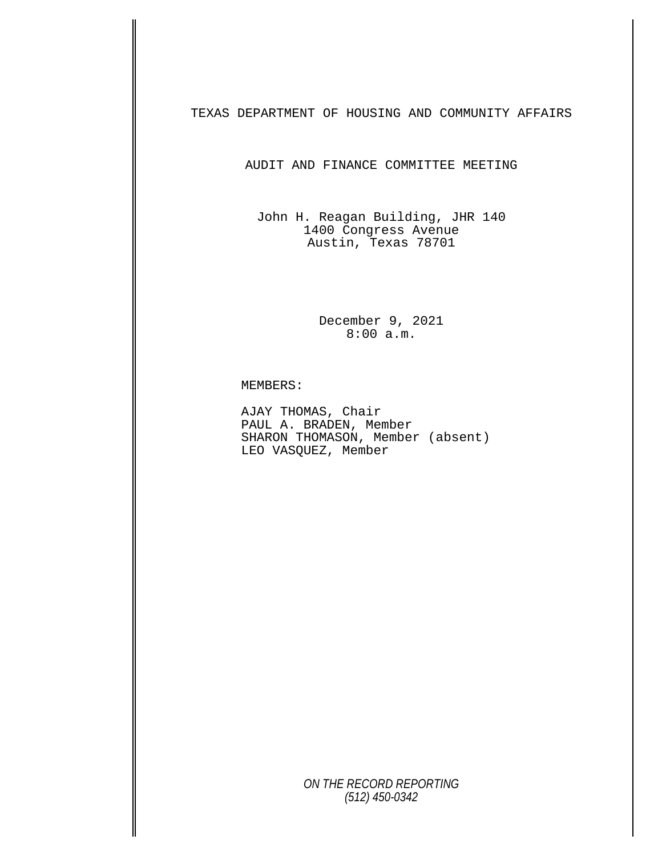TEXAS DEPARTMENT OF HOUSING AND COMMUNITY AFFAIRS

AUDIT AND FINANCE COMMITTEE MEETING

John H. Reagan Building, JHR 140 1400 Congress Avenue Austin, Texas 78701

> December 9, 2021 8:00 a.m.

MEMBERS:<br>AJAY THOMAS, Chair<br>PAUL A. BRADEN, Member SHARON THOMASON, Member (absent) LEO VASQUEZ, Member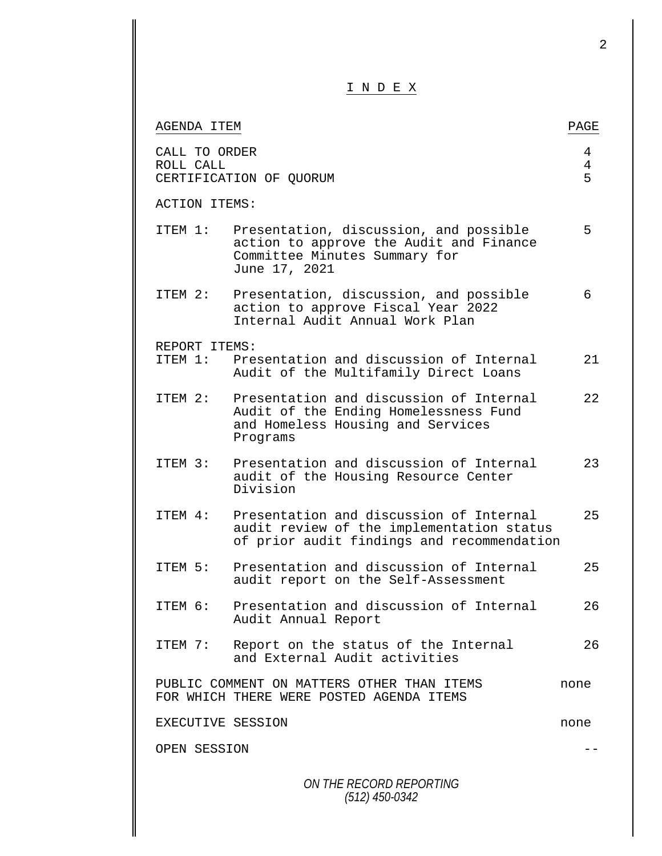|                            | I N D E X                                                                                                                           |             |
|----------------------------|-------------------------------------------------------------------------------------------------------------------------------------|-------------|
| AGENDA ITEM                |                                                                                                                                     | PAGE        |
| CALL TO ORDER<br>ROLL CALL | CERTIFICATION OF QUORUM                                                                                                             | 4<br>4<br>5 |
| <b>ACTION ITEMS:</b>       |                                                                                                                                     |             |
| ITEM 1:                    | Presentation, discussion, and possible<br>action to approve the Audit and Finance<br>Committee Minutes Summary for<br>June 17, 2021 | 5           |
| ITEM 2:                    | Presentation, discussion, and possible<br>action to approve Fiscal Year 2022<br>Internal Audit Annual Work Plan                     | 6           |
| REPORT ITEMS:              |                                                                                                                                     |             |
|                            | ITEM 1: Presentation and discussion of Internal<br>Audit of the Multifamily Direct Loans                                            | 21          |
| ITEM 2:                    | Presentation and discussion of Internal<br>Audit of the Ending Homelessness Fund<br>and Homeless Housing and Services<br>Programs   | 22          |
| TTEM 3:                    | Presentation and discussion of Internal<br>audit of the Housing Resource Center<br>Division                                         | 23          |
| ITEM 4:                    | Presentation and discussion of Internal<br>audit review of the implementation status<br>of prior audit findings and recommendation  | 25          |
| ITEM 5:                    | Presentation and discussion of Internal<br>audit report on the Self-Assessment                                                      | 25          |
| ITEM 6:                    | Presentation and discussion of Internal<br>Audit Annual Report                                                                      | 26          |
| ITEM 7:                    | Report on the status of the Internal<br>and External Audit activities                                                               | 26          |
|                            | PUBLIC COMMENT ON MATTERS OTHER THAN ITEMS<br>FOR WHICH THERE WERE POSTED AGENDA ITEMS                                              | none        |
|                            | EXECUTIVE SESSION                                                                                                                   | none        |

2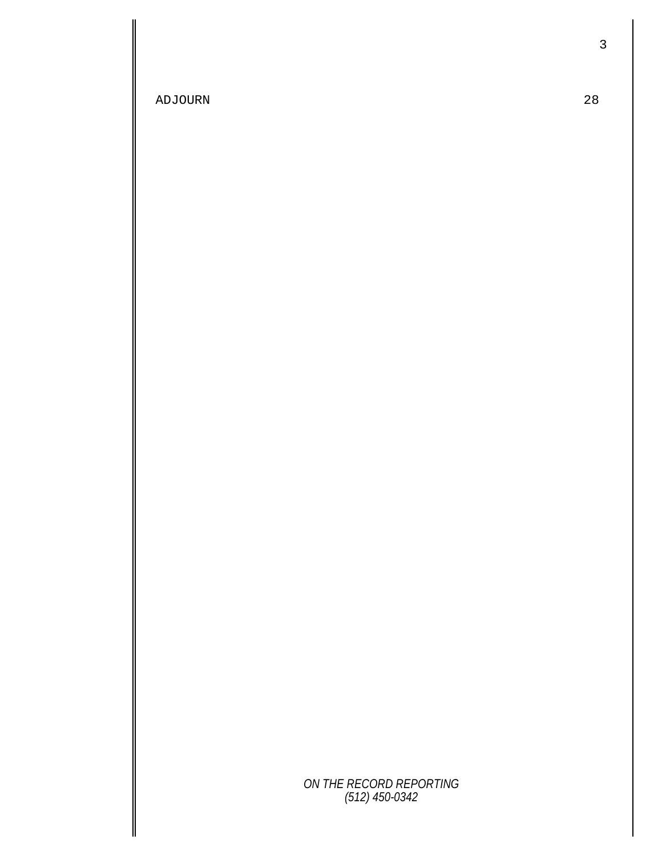ADJOURN 28

3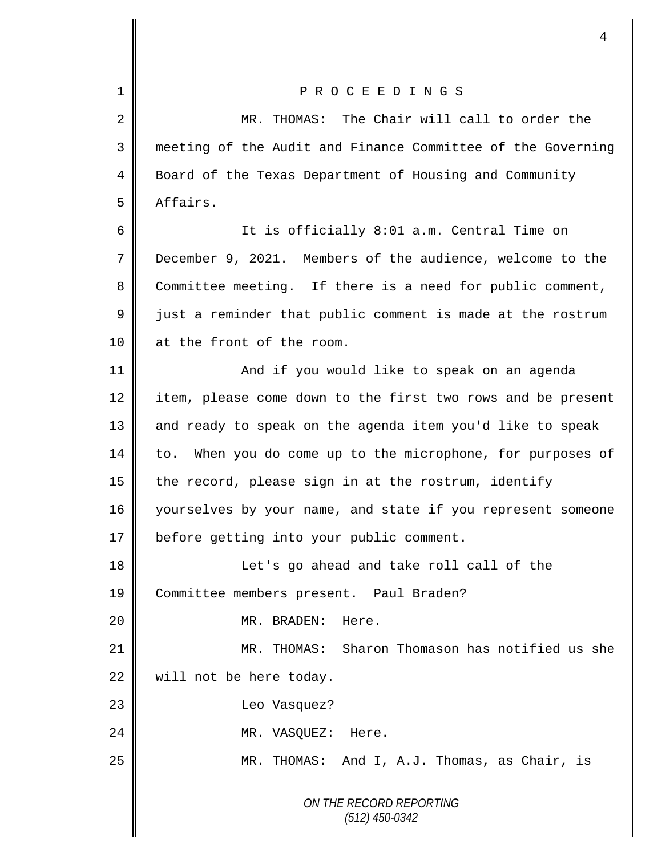|             | 4                                                             |
|-------------|---------------------------------------------------------------|
| $\mathbf 1$ | P R O C E E D I N G S                                         |
| 2           | The Chair will call to order the<br>MR. THOMAS:               |
| 3           | meeting of the Audit and Finance Committee of the Governing   |
| 4           | Board of the Texas Department of Housing and Community        |
| 5           | Affairs.                                                      |
| 6           | It is officially 8:01 a.m. Central Time on                    |
| 7           | December 9, 2021. Members of the audience, welcome to the     |
| 8           | Committee meeting. If there is a need for public comment,     |
| $\mathsf 9$ | just a reminder that public comment is made at the rostrum    |
| 10          | at the front of the room.                                     |
| 11          | And if you would like to speak on an agenda                   |
| 12          | item, please come down to the first two rows and be present   |
| 13          | and ready to speak on the agenda item you'd like to speak     |
| 14          | When you do come up to the microphone, for purposes of<br>to. |
| 15          | the record, please sign in at the rostrum, identify           |
| 16          | yourselves by your name, and state if you represent someone   |
| 17          | before getting into your public comment.                      |
| 18          | Let's go ahead and take roll call of the                      |
| 19          | Committee members present. Paul Braden?                       |
| 20          | Here.<br>MR. BRADEN:                                          |
| 21          | MR. THOMAS: Sharon Thomason has notified us she               |
| 22          | will not be here today.                                       |
| 23          | Leo Vasquez?                                                  |
| 24          | Here.<br>MR. VASQUEZ:                                         |
| 25          | MR. THOMAS: And I, A.J. Thomas, as Chair, is                  |
|             | ON THE RECORD REPORTING<br>$(512)$ 450-0342                   |

 $\mathbf l$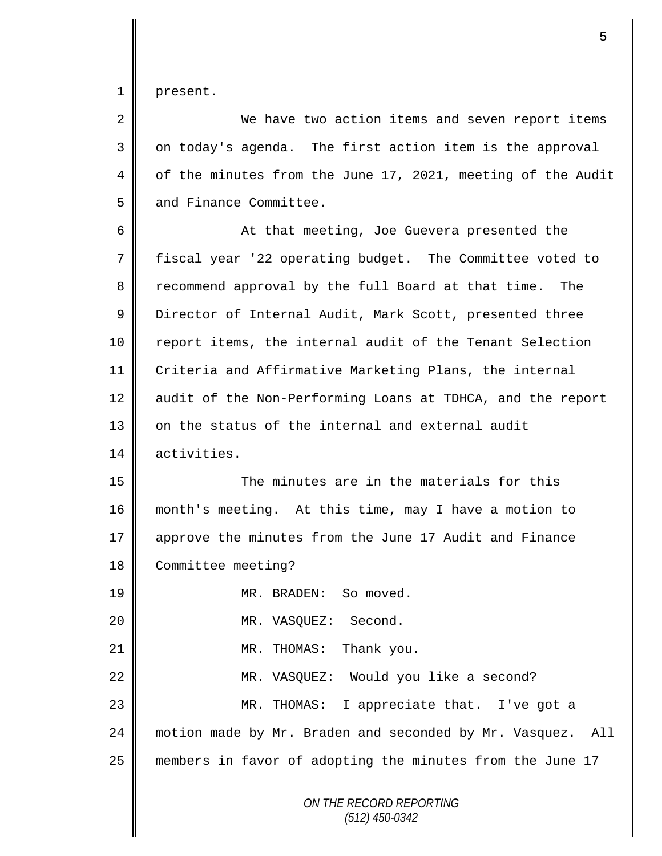1 | present.

2 We have two action items and seven report items  $3 \parallel$  on today's agenda. The first action item is the approval 4 | of the minutes from the June 17, 2021, meeting of the Audit 5 and Finance Committee. 6 || At that meeting, Joe Guevera presented the 7 fiscal year '22 operating budget. The Committee voted to 8 Tecommend approval by the full Board at that time. The 9 U Director of Internal Audit, Mark Scott, presented three 10 | report items, the internal audit of the Tenant Selection 11 Criteria and Affirmative Marketing Plans, the internal 12 audit of the Non-Performing Loans at TDHCA, and the report 13 on the status of the internal and external audit 14 activities. 15 The minutes are in the materials for this

16 month's meeting. At this time, may I have a motion to 17 approve the minutes from the June 17 Audit and Finance 18 Committee meeting?

19 MR. BRADEN: So moved.

20 MR. VASQUEZ: Second.

21 || MR. THOMAS: Thank you.

22 || MR. VASQUEZ: Would you like a second? 23 MR. THOMAS: I appreciate that. I've got a 24 | motion made by Mr. Braden and seconded by Mr. Vasquez. All 25 members in favor of adopting the minutes from the June 17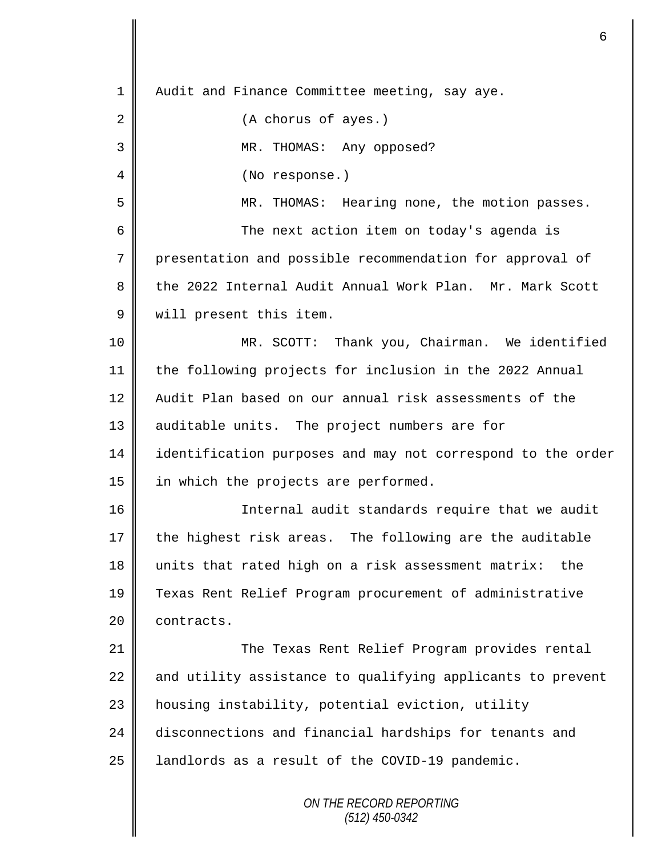*ON THE RECORD REPORTING (512) 450-0342* 1 | Audit and Finance Committee meeting, say aye. 2 || (A chorus of ayes.) 3 MR. THOMAS: Any opposed? 4 || (No response.) 5 MR. THOMAS: Hearing none, the motion passes. 6 The next action item on today's agenda is 7 presentation and possible recommendation for approval of 8 the 2022 Internal Audit Annual Work Plan. Mr. Mark Scott 9 | will present this item. 10 MR. SCOTT: Thank you, Chairman. We identified 11 the following projects for inclusion in the 2022 Annual 12 Audit Plan based on our annual risk assessments of the 13 | auditable units. The project numbers are for 14 identification purposes and may not correspond to the order 15  $\parallel$  in which the projects are performed. 16 || Internal audit standards require that we audit  $17$  the highest risk areas. The following are the auditable 18 units that rated high on a risk assessment matrix: the 19 Texas Rent Relief Program procurement of administrative 20 | contracts. 21 The Texas Rent Relief Program provides rental 22  $\parallel$  and utility assistance to qualifying applicants to prevent 23 | housing instability, potential eviction, utility 24 disconnections and financial hardships for tenants and 25 | landlords as a result of the COVID-19 pandemic.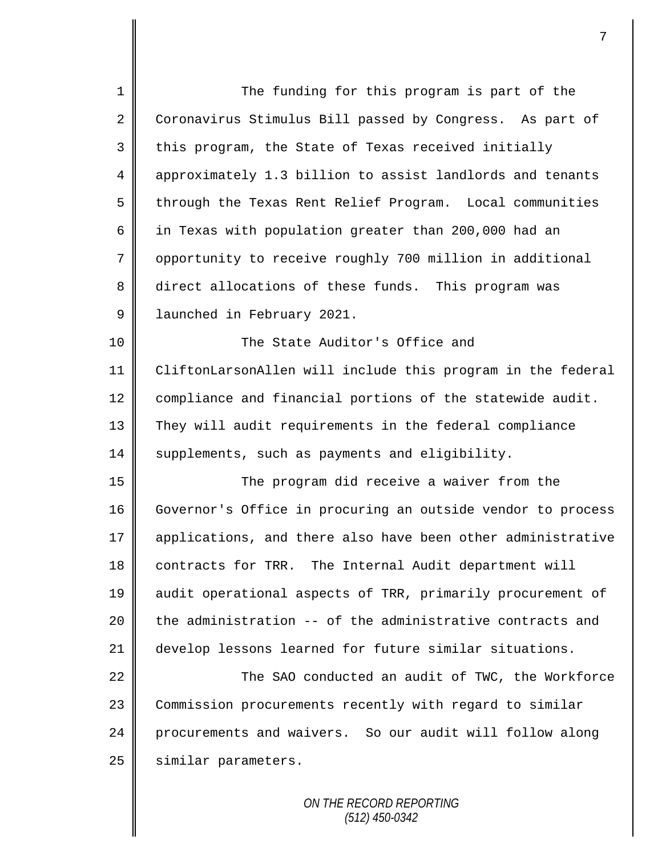| $\mathbf 1$    | The funding for this program is part of the                 |
|----------------|-------------------------------------------------------------|
| $\overline{a}$ | Coronavirus Stimulus Bill passed by Congress. As part of    |
| 3              | this program, the State of Texas received initially         |
| 4              | approximately 1.3 billion to assist landlords and tenants   |
| 5              | through the Texas Rent Relief Program. Local communities    |
| 6              | in Texas with population greater than 200,000 had an        |
| 7              | opportunity to receive roughly 700 million in additional    |
| 8              | direct allocations of these funds. This program was         |
| 9              | launched in February 2021.                                  |
| 10             | The State Auditor's Office and                              |
| 11             | CliftonLarsonAllen will include this program in the federal |
| 12             | compliance and financial portions of the statewide audit.   |
| 13             | They will audit requirements in the federal compliance      |
| 14             | supplements, such as payments and eligibility.              |
| 15             | The program did receive a waiver from the                   |
| 16             | Governor's Office in procuring an outside vendor to process |
| 17             | applications, and there also have been other administrative |
| 18             | contracts for TRR. The Internal Audit department will       |
| 19             | audit operational aspects of TRR, primarily procurement of  |
| 20             | the administration -- of the administrative contracts and   |
| 21             | develop lessons learned for future similar situations.      |
| 22             | The SAO conducted an audit of TWC, the Workforce            |
| 23             | Commission procurements recently with regard to similar     |
| 24             | procurements and waivers. So our audit will follow along    |
| 25             | similar parameters.                                         |
|                |                                                             |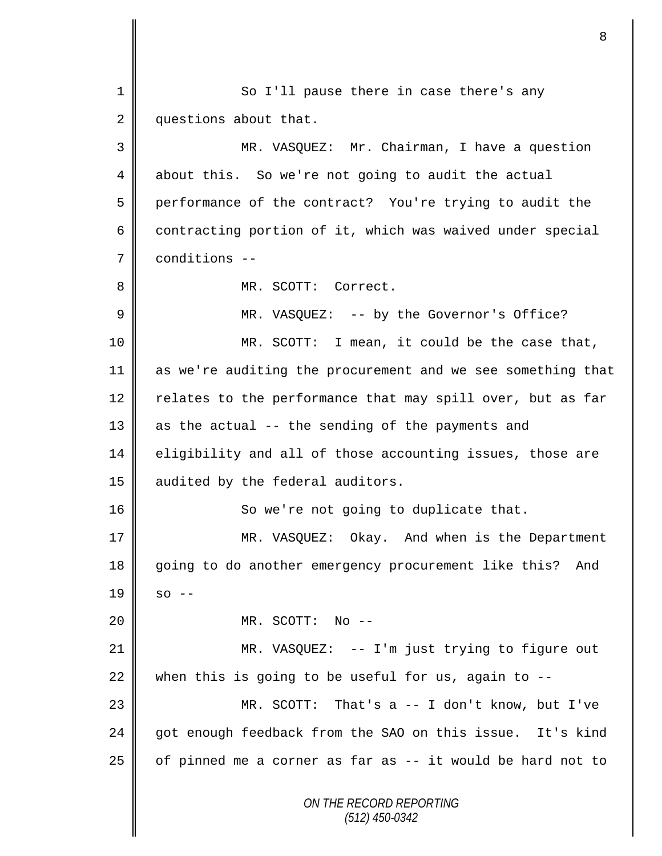*ON THE RECORD REPORTING (512) 450-0342* 1 So I'll pause there in case there's any 2 questions about that. 3 MR. VASQUEZ: Mr. Chairman, I have a question 4 about this. So we're not going to audit the actual 5 performance of the contract? You're trying to audit the  $6 \parallel$  contracting portion of it, which was waived under special 7 conditions -- 8 || MR. SCOTT: Correct. 9 MR. VASQUEZ: -- by the Governor's Office? 10 || MR. SCOTT: I mean, it could be the case that, 11 as we're auditing the procurement and we see something that 12  $\parallel$  relates to the performance that may spill over, but as far  $13$  as the actual -- the sending of the payments and 14 | eligibility and all of those accounting issues, those are 15 | audited by the federal auditors. 16 So we're not going to duplicate that. 17 MR. VASQUEZ: Okay. And when is the Department 18 going to do another emergency procurement like this? And  $19 \parallel$  so --20 MR. SCOTT: No -- 21 | MR. VASQUEZ: -- I'm just trying to figure out 22 when this is going to be useful for us, again to  $-$ -23 MR. SCOTT: That's a -- I don't know, but I've 24 got enough feedback from the SAO on this issue. It's kind 25  $\parallel$  of pinned me a corner as far as -- it would be hard not to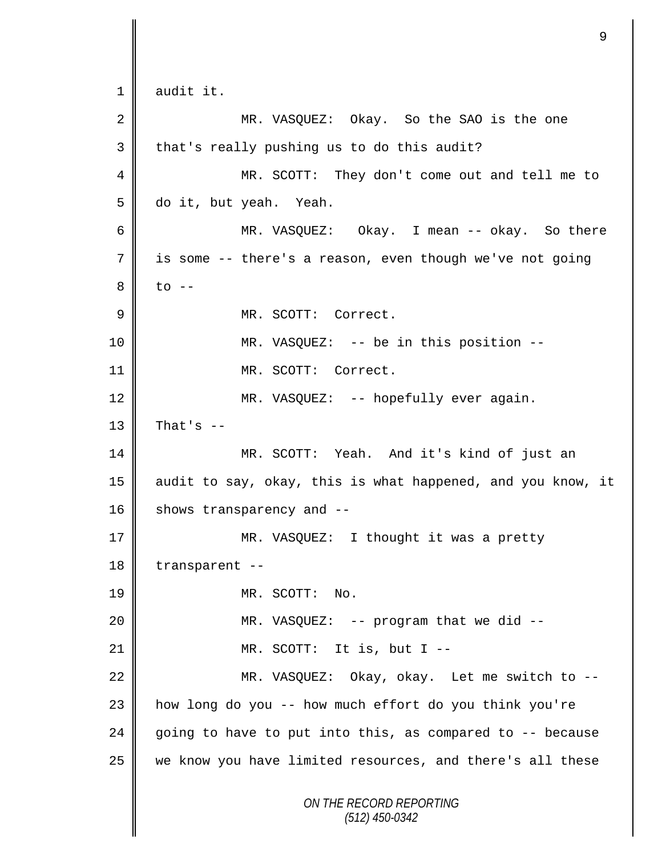*ON THE RECORD REPORTING (512) 450-0342* 1 audit it. 2 MR. VASQUEZ: Okay. So the SAO is the one 3 that's really pushing us to do this audit? 4 MR. SCOTT: They don't come out and tell me to 5 do it, but yeah. Yeah. 6 MR. VASQUEZ: Okay. I mean -- okay. So there 7 is some -- there's a reason, even though we've not going  $8 \parallel$  to  $-$ 9 || MR. SCOTT: Correct. 10 MR. VASQUEZ: -- be in this position -- 11 MR. SCOTT: Correct. 12 || MR. VASQUEZ: -- hopefully ever again.  $13$  | That's  $-$ 14 MR. SCOTT: Yeah. And it's kind of just an 15 || audit to say, okay, this is what happened, and you know, it 16 | shows transparency and  $-$ 17 || MR. VASQUEZ: I thought it was a pretty 18 transparent --19 MR. SCOTT: No. 20 MR. VASQUEZ: -- program that we did -- 21  $\parallel$  MR. SCOTT: It is, but I --22 MR. VASQUEZ: Okay, okay. Let me switch to --23 how long do you -- how much effort do you think you're 24 going to have to put into this, as compared to  $-$ - because 25 we know you have limited resources, and there's all these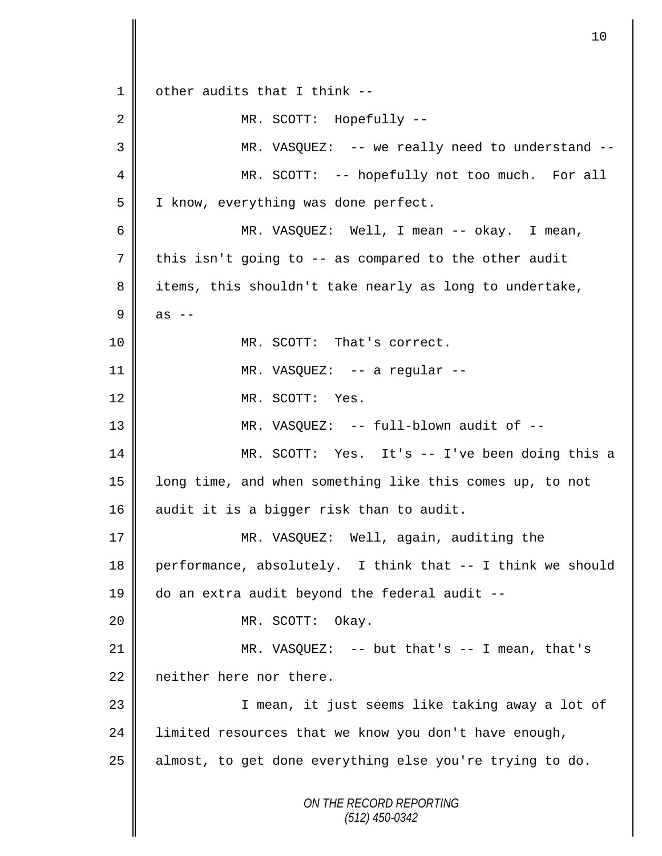*ON THE RECORD REPORTING (512) 450-0342* 1  $\parallel$  other audits that I think --2 MR. SCOTT: Hopefully --3 MR. VASQUEZ: -- we really need to understand -- 4 || MR. SCOTT: -- hopefully not too much. For all 5 | I know, everything was done perfect. 6 MR. VASQUEZ: Well, I mean -- okay. I mean, 7 this isn't going to -- as compared to the other audit 8 items, this shouldn't take nearly as long to undertake,  $9$  as  $-$ 10 || MR. SCOTT: That's correct. 11 || MR. VASQUEZ: -- a regular --12 MR. SCOTT: Yes. 13 MR. VASQUEZ: -- full-blown audit of -- 14 MR. SCOTT: Yes. It's -- I've been doing this a 15 || long time, and when something like this comes up, to not 16 || audit it is a bigger risk than to audit. 17 || MR. VASQUEZ: Well, again, auditing the 18 performance, absolutely. I think that -- I think we should 19 do an extra audit beyond the federal audit -- 20 MR. SCOTT: Okay. 21 MR. VASQUEZ: -- but that's -- I mean, that's 22 neither here nor there. 23 || I mean, it just seems like taking away a lot of 24 | limited resources that we know you don't have enough,  $25$  | almost, to get done everything else you're trying to do.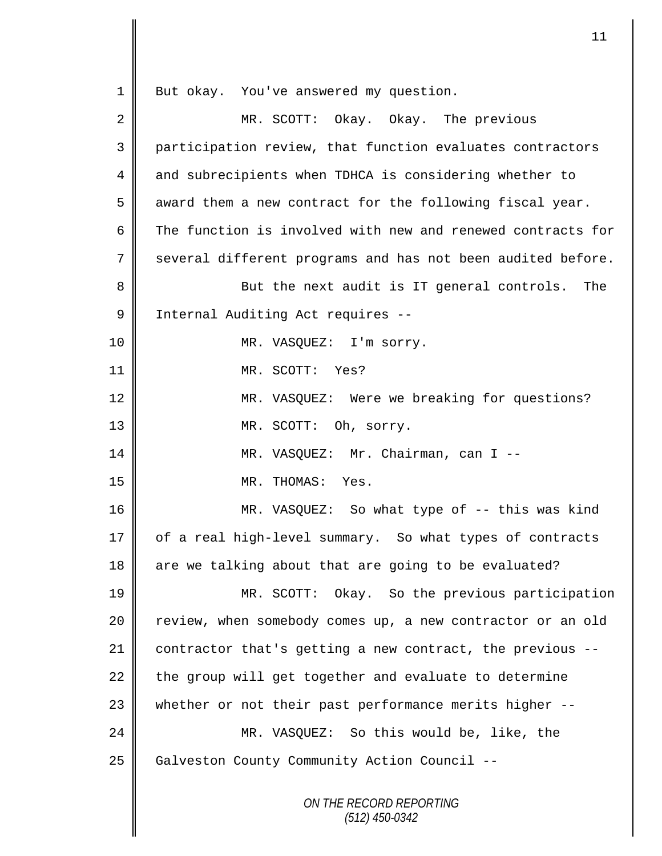*ON THE RECORD REPORTING (512) 450-0342* 1 | But okay. You've answered my question. 2 MR. SCOTT: Okay. Okay. The previous 3 participation review, that function evaluates contractors 4 and subrecipients when TDHCA is considering whether to  $5 \parallel$  award them a new contract for the following fiscal year. 6 The function is involved with new and renewed contracts for 7 || several different programs and has not been audited before. 8 || But the next audit is IT general controls. The 9 | Internal Auditing Act requires --10 || MR. VASQUEZ: I'm sorry. 11 MR. SCOTT: Yes? 12 MR. VASQUEZ: Were we breaking for questions? 13 MR. SCOTT: Oh, sorry. 14 || MR. VASQUEZ: Mr. Chairman, can I --15 MR. THOMAS: Yes. 16 MR. VASQUEZ: So what type of -- this was kind 17 | of a real high-level summary. So what types of contracts 18 || are we talking about that are going to be evaluated? 19 MR. SCOTT: Okay. So the previous participation 20 | review, when somebody comes up, a new contractor or an old 21 contractor that's getting a new contract, the previous -- 22  $\parallel$  the group will get together and evaluate to determine 23 whether or not their past performance merits higher --24 MR. VASQUEZ: So this would be, like, the 25 | Galveston County Community Action Council --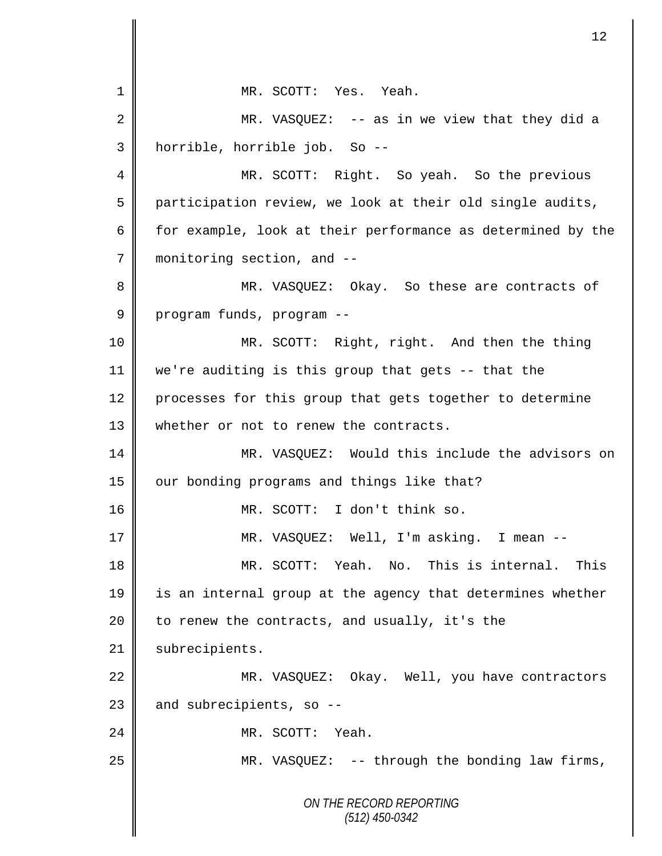*ON THE RECORD REPORTING (512) 450-0342* 1 MR. SCOTT: Yes. Yeah. 2 MR. VASQUEZ: -- as in we view that they did a 3 horrible, horrible job. So -- 4 MR. SCOTT: Right. So yeah. So the previous  $5 \parallel$  participation review, we look at their old single audits, 6 for example, look at their performance as determined by the 7 monitoring section, and -- 8 MR. VASQUEZ: Okay. So these are contracts of 9 program funds, program --10 MR. SCOTT: Right, right. And then the thing 11 we're auditing is this group that gets -- that the 12 processes for this group that gets together to determine 13 whether or not to renew the contracts. 14 MR. VASQUEZ: Would this include the advisors on  $15$  | our bonding programs and things like that? 16 || MR. SCOTT: I don't think so. 17 MR. VASQUEZ: Well, I'm asking. I mean -- 18 MR. SCOTT: Yeah. No. This is internal. This 19 is an internal group at the agency that determines whether 20  $\parallel$  to renew the contracts, and usually, it's the 21 | subrecipients. 22 | MR. VASQUEZ: Okay. Well, you have contractors  $23$  and subrecipients, so --24 MR. SCOTT: Yeah. 25 MR. VASQUEZ: -- through the bonding law firms,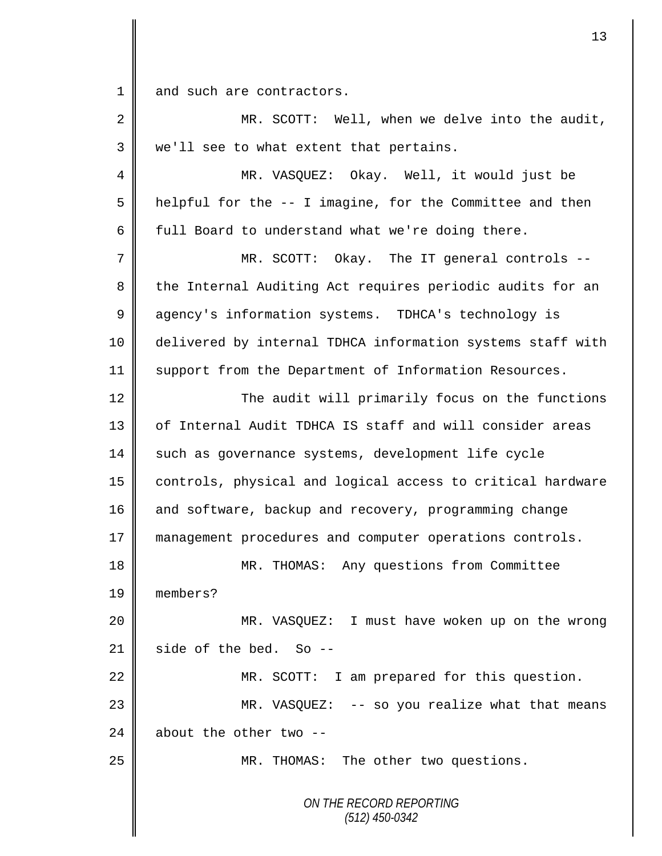1 and such are contractors.

*ON THE RECORD REPORTING (512) 450-0342* 2 || MR. SCOTT: Well, when we delve into the audit, 3 | we'll see to what extent that pertains. 4 MR. VASQUEZ: Okay. Well, it would just be  $5 \parallel$  helpful for the -- I imagine, for the Committee and then 6 full Board to understand what we're doing there. 7 MR. SCOTT: Okay. The IT general controls -- 8 the Internal Auditing Act requires periodic audits for an 9 degency's information systems. TDHCA's technology is 10 delivered by internal TDHCA information systems staff with 11 Support from the Department of Information Resources. 12 The audit will primarily focus on the functions 13 || of Internal Audit TDHCA IS staff and will consider areas 14 such as governance systems, development life cycle 15 controls, physical and logical access to critical hardware 16 and software, backup and recovery, programming change 17 management procedures and computer operations controls. 18 || MR. THOMAS: Any questions from Committee 19 members? 20 MR. VASQUEZ: I must have woken up on the wrong 21  $\parallel$  side of the bed. So --22 | MR. SCOTT: I am prepared for this question. 23 MR. VASQUEZ: -- so you realize what that means 24  $\parallel$  about the other two --25 MR. THOMAS: The other two questions.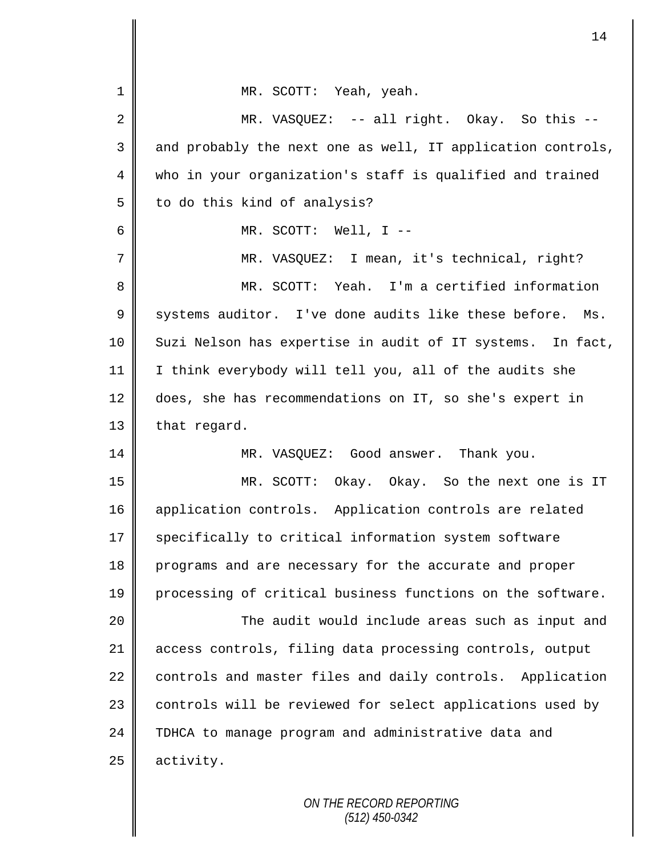| $\mathbf{1}$   | MR. SCOTT: Yeah, yeah.                                      |
|----------------|-------------------------------------------------------------|
| 2              | MR. VASQUEZ: -- all right. Okay. So this --                 |
| 3              | and probably the next one as well, IT application controls, |
| $\overline{4}$ | who in your organization's staff is qualified and trained   |
| 5              | to do this kind of analysis?                                |
| 6              | MR. SCOTT: Well, $I$ --                                     |
| 7              | MR. VASQUEZ: I mean, it's technical, right?                 |
| 8              | MR. SCOTT: Yeah. I'm a certified information                |
| $\mathsf 9$    | systems auditor. I've done audits like these before. Ms.    |
| 10             | Suzi Nelson has expertise in audit of IT systems. In fact,  |
| 11             | I think everybody will tell you, all of the audits she      |
| 12             | does, she has recommendations on IT, so she's expert in     |
| 13             | that regard.                                                |
| 14             | MR. VASQUEZ: Good answer. Thank you.                        |
| 15             | MR. SCOTT: Okay. Okay. So the next one is IT                |
| 16             | application controls. Application controls are related      |
| 17             | specifically to critical information system software        |
| 18             | programs and are necessary for the accurate and proper      |
| 19             | processing of critical business functions on the software.  |
| 20             | The audit would include areas such as input and             |
| 21             | access controls, filing data processing controls, output    |
| 22             | controls and master files and daily controls. Application   |
| 23             | controls will be reviewed for select applications used by   |
| 24             | TDHCA to manage program and administrative data and         |
| 25             | activity.                                                   |
|                |                                                             |

II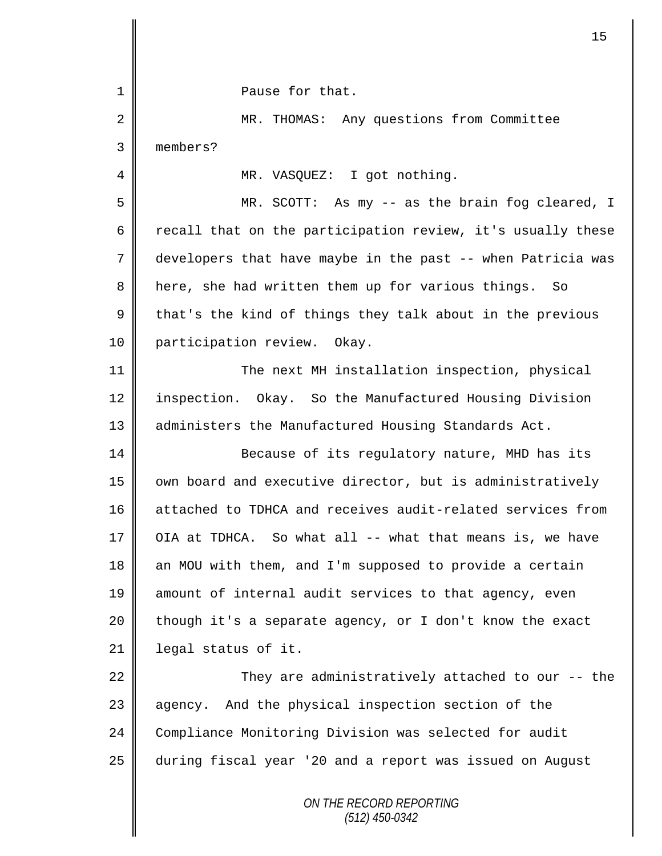|             | 15                                                          |
|-------------|-------------------------------------------------------------|
| 1           | Pause for that.                                             |
| 2           | MR. THOMAS: Any questions from Committee                    |
| 3           | members?                                                    |
| 4           | MR. VASQUEZ: I got nothing.                                 |
| 5           | MR. SCOTT: As my -- as the brain fog cleared, I             |
| 6           | recall that on the participation review, it's usually these |
| 7           | developers that have maybe in the past -- when Patricia was |
| 8           | here, she had written them up for various things.<br>So     |
| $\mathsf 9$ | that's the kind of things they talk about in the previous   |
| 10          | participation review. Okay.                                 |
| 11          | The next MH installation inspection, physical               |
| 12          | Okay. So the Manufactured Housing Division<br>inspection.   |
| 13          | administers the Manufactured Housing Standards Act.         |
| 14          | Because of its regulatory nature, MHD has its               |
| 15          | own board and executive director, but is administratively   |
| 16          | attached to TDHCA and receives audit-related services from  |
| 17          | OIA at TDHCA. So what all -- what that means is, we have    |
| 18          | an MOU with them, and I'm supposed to provide a certain     |
| 19          | amount of internal audit services to that agency, even      |
| 20          | though it's a separate agency, or I don't know the exact    |
| 21          | legal status of it.                                         |
| 22          | They are administratively attached to our -- the            |
| 23          | agency. And the physical inspection section of the          |
| 24          | Compliance Monitoring Division was selected for audit       |
| 25          | during fiscal year '20 and a report was issued on August    |
|             | ON THE RECORD REPORTING<br>$(512)$ 450-0342                 |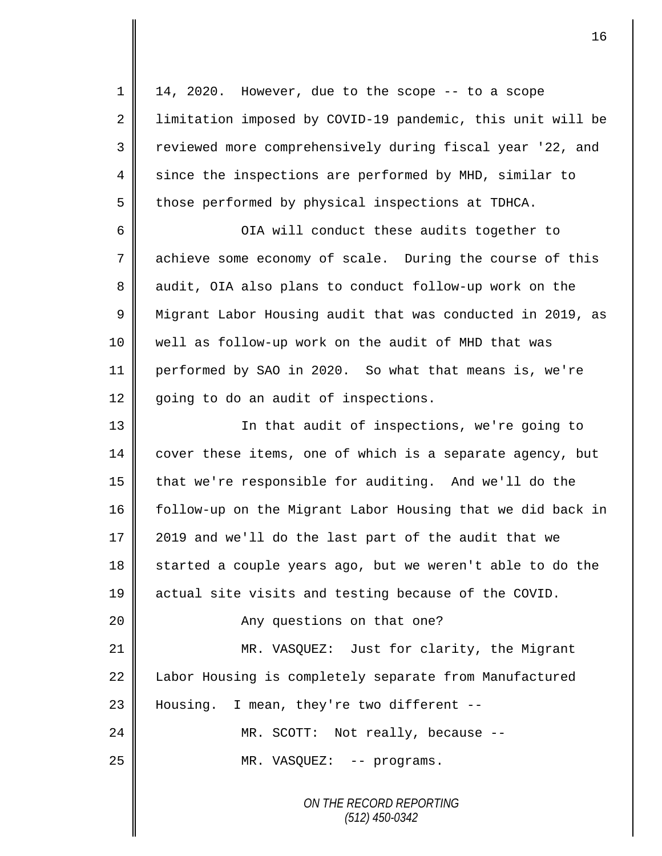*ON THE RECORD REPORTING (512) 450-0342*  $1 \parallel 14$ , 2020. However, due to the scope -- to a scope 2 | limitation imposed by COVID-19 pandemic, this unit will be 3 || reviewed more comprehensively during fiscal year '22, and 4 since the inspections are performed by MHD, similar to  $5 \parallel$  those performed by physical inspections at TDHCA. 6 OIA will conduct these audits together to 7 achieve some economy of scale. During the course of this 8 || audit, OIA also plans to conduct follow-up work on the 9 | Migrant Labor Housing audit that was conducted in 2019, as 10 well as follow-up work on the audit of MHD that was 11 performed by SAO in 2020. So what that means is, we're 12 going to do an audit of inspections. 13 || In that audit of inspections, we're going to 14 cover these items, one of which is a separate agency, but 15 that we're responsible for auditing. And we'll do the 16 | follow-up on the Migrant Labor Housing that we did back in 17 || 2019 and we'll do the last part of the audit that we 18 started a couple years ago, but we weren't able to do the 19 actual site visits and testing because of the COVID. 20 || Any questions on that one? 21 | MR. VASQUEZ: Just for clarity, the Migrant 22 Labor Housing is completely separate from Manufactured 23 Housing. I mean, they're two different --24 MR. SCOTT: Not really, because --25 || MR. VASQUEZ: -- programs.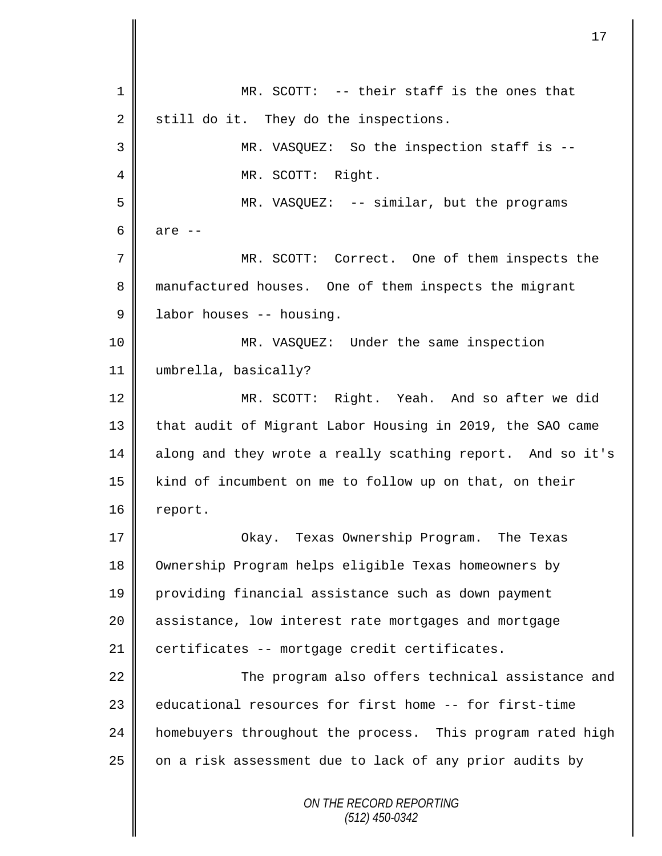*ON THE RECORD REPORTING (512) 450-0342* 1 || MR. SCOTT: -- their staff is the ones that  $2 \parallel$  still do it. They do the inspections. 3 MR. VASQUEZ: So the inspection staff is -- 4 || MR. SCOTT: Right. 5 MR. VASQUEZ: -- similar, but the programs  $6 \parallel$  are  $-$ 7 MR. SCOTT: Correct. One of them inspects the 8 manufactured houses. One of them inspects the migrant 9 | labor houses -- housing. 10 MR. VASQUEZ: Under the same inspection 11 umbrella, basically? 12 MR. SCOTT: Right. Yeah. And so after we did 13 that audit of Migrant Labor Housing in 2019, the SAO came 14 along and they wrote a really scathing report. And so it's 15 kind of incumbent on me to follow up on that, on their 16 | report. 17 Okay. Texas Ownership Program. The Texas 18 Ownership Program helps eligible Texas homeowners by 19 providing financial assistance such as down payment 20 || assistance, low interest rate mortgages and mortgage 21 certificates -- mortgage credit certificates. 22 || The program also offers technical assistance and 23 **e**ducational resources for first home -- for first-time 24 | homebuyers throughout the process. This program rated high  $25$  on a risk assessment due to lack of any prior audits by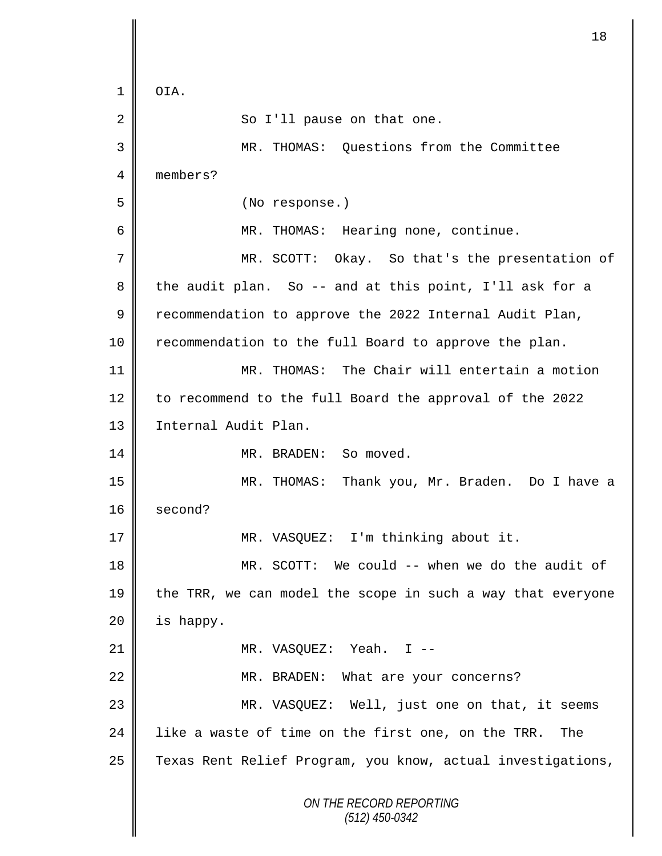*ON THE RECORD REPORTING (512) 450-0342*  $1 \parallel$  OIA. 2 || So I'll pause on that one. 3 MR. THOMAS: Questions from the Committee 4 members? 5 (No response.) 6 || MR. THOMAS: Hearing none, continue. 7 MR. SCOTT: Okay. So that's the presentation of 8 the audit plan. So -- and at this point, I'll ask for a 9 recommendation to approve the 2022 Internal Audit Plan, 10 | recommendation to the full Board to approve the plan. 11 MR. THOMAS: The Chair will entertain a motion 12 to recommend to the full Board the approval of the 2022 13 | Internal Audit Plan. 14 MR. BRADEN: So moved. 15 MR. THOMAS: Thank you, Mr. Braden. Do I have a 16 second? 17 || MR. VASQUEZ: I'm thinking about it. 18 MR. SCOTT: We could -- when we do the audit of 19  $\parallel$  the TRR, we can model the scope in such a way that everyone  $20$  | is happy. 21 || MR. VASQUEZ: Yeah. I --22 MR. BRADEN: What are your concerns? 23 MR. VASQUEZ: Well, just one on that, it seems 24  $\parallel$  like a waste of time on the first one, on the TRR. The 25 | Texas Rent Relief Program, you know, actual investigations,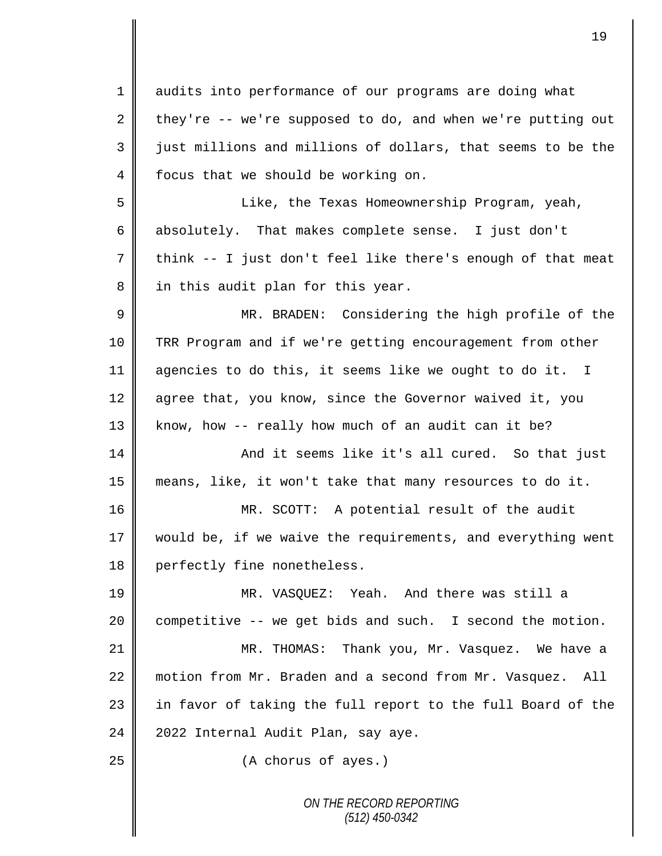*ON THE RECORD REPORTING* 1 audits into performance of our programs are doing what 2 they're  $-$ - we're supposed to do, and when we're putting out 3 just millions and millions of dollars, that seems to be the 4 focus that we should be working on. 5 Like, the Texas Homeownership Program, yeah, 6 absolutely. That makes complete sense. I just don't  $7 \parallel$  think -- I just don't feel like there's enough of that meat 8 in this audit plan for this year. 9 || MR. BRADEN: Considering the high profile of the 10 TRR Program and if we're getting encouragement from other 11 agencies to do this, it seems like we ought to do it. I 12 agree that, you know, since the Governor waived it, you 13 | know, how -- really how much of an audit can it be? 14 And it seems like it's all cured. So that just 15 means, like, it won't take that many resources to do it. 16 MR. SCOTT: A potential result of the audit 17 || would be, if we waive the requirements, and everything went 18 perfectly fine nonetheless. 19 MR. VASQUEZ: Yeah. And there was still a  $20$  competitive -- we get bids and such. I second the motion. 21 MR. THOMAS: Thank you, Mr. Vasquez. We have a 22 motion from Mr. Braden and a second from Mr. Vasquez. All 23 || in favor of taking the full report to the full Board of the  $24$  | 2022 Internal Audit Plan, say aye. 25 **(A** chorus of ayes.)

19

*(512) 450-0342*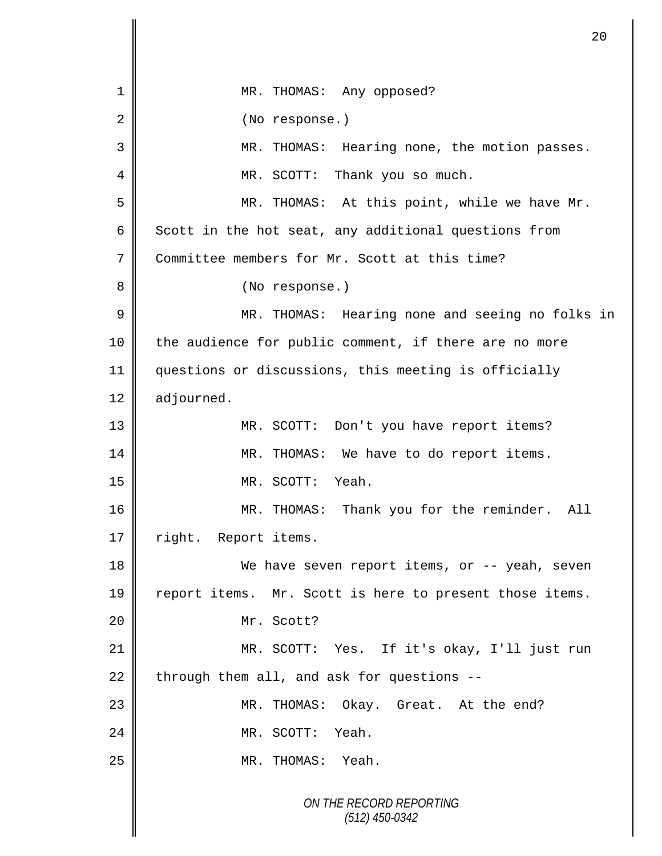*ON THE RECORD REPORTING (512) 450-0342* 1 || MR. THOMAS: Any opposed? 2 | (No response.) 3 MR. THOMAS: Hearing none, the motion passes. 4 || MR. SCOTT: Thank you so much. 5 MR. THOMAS: At this point, while we have Mr. 6 Scott in the hot seat, any additional questions from 7 Committee members for Mr. Scott at this time? 8 || (No response.) 9 MR. THOMAS: Hearing none and seeing no folks in 10 || the audience for public comment, if there are no more 11 questions or discussions, this meeting is officially 12 adjourned. 13 MR. SCOTT: Don't you have report items? 14 MR. THOMAS: We have to do report items. 15 MR. SCOTT: Yeah. 16 MR. THOMAS: Thank you for the reminder. All 17 | right. Report items. 18 We have seven report items, or -- yeah, seven 19 | report items. Mr. Scott is here to present those items. 20 || Mr. Scott? 21 MR. SCOTT: Yes. If it's okay, I'll just run 22 through them all, and ask for questions  $-$ 23 MR. THOMAS: Okay. Great. At the end? 24 MR. SCOTT: Yeah. 25 NR. THOMAS: Yeah.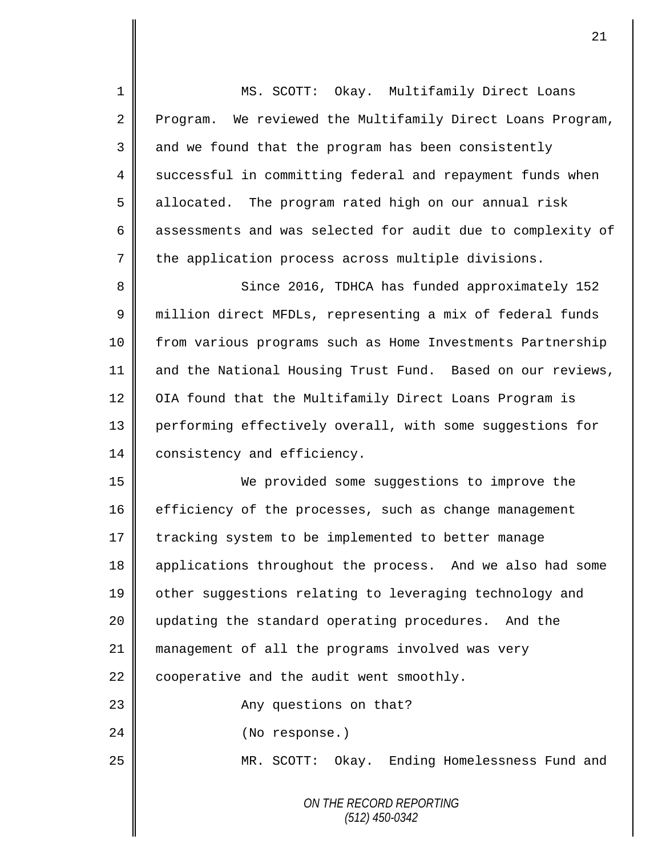*ON THE RECORD REPORTING (512) 450-0342* 1 MS. SCOTT: Okay. Multifamily Direct Loans 2 Program. We reviewed the Multifamily Direct Loans Program,  $3 \parallel$  and we found that the program has been consistently 4 Successful in committing federal and repayment funds when 5 allocated. The program rated high on our annual risk 6 assessments and was selected for audit due to complexity of  $7 \parallel$  the application process across multiple divisions. 8 Since 2016, TDHCA has funded approximately 152 9 million direct MFDLs, representing a mix of federal funds 10 | from various programs such as Home Investments Partnership 11 and the National Housing Trust Fund. Based on our reviews, 12 OIA found that the Multifamily Direct Loans Program is 13 performing effectively overall, with some suggestions for 14 consistency and efficiency. 15 We provided some suggestions to improve the 16 efficiency of the processes, such as change management 17 tracking system to be implemented to better manage 18 applications throughout the process. And we also had some 19 | other suggestions relating to leveraging technology and 20 || updating the standard operating procedures. And the 21 management of all the programs involved was very 22  $\parallel$  cooperative and the audit went smoothly. 23 || Any questions on that? 24 || (No response.) 25 | MR. SCOTT: Okay. Ending Homelessness Fund and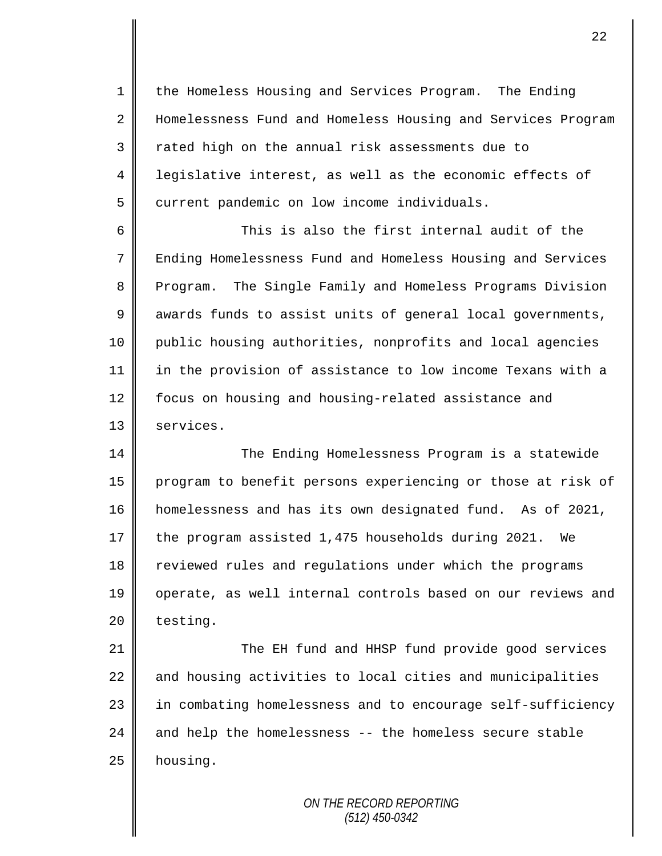1 the Homeless Housing and Services Program. The Ending 2 Homelessness Fund and Homeless Housing and Services Program 3 T rated high on the annual risk assessments due to 4 | legislative interest, as well as the economic effects of 5 current pandemic on low income individuals.

6 This is also the first internal audit of the 7 Ending Homelessness Fund and Homeless Housing and Services 8 Program. The Single Family and Homeless Programs Division 9 awards funds to assist units of general local governments, 10 public housing authorities, nonprofits and local agencies 11 in the provision of assistance to low income Texans with a 12 | focus on housing and housing-related assistance and 13 | services.

14 The Ending Homelessness Program is a statewide 15 program to benefit persons experiencing or those at risk of 16 homelessness and has its own designated fund. As of 2021, 17 the program assisted 1,475 households during 2021. We 18 Teviewed rules and regulations under which the programs 19 || operate, as well internal controls based on our reviews and  $20$  | testing.

21 The EH fund and HHSP fund provide good services  $22$  and housing activities to local cities and municipalities 23 || in combating homelessness and to encourage self-sufficiency 24  $\parallel$  and help the homelessness -- the homeless secure stable  $25$  housing.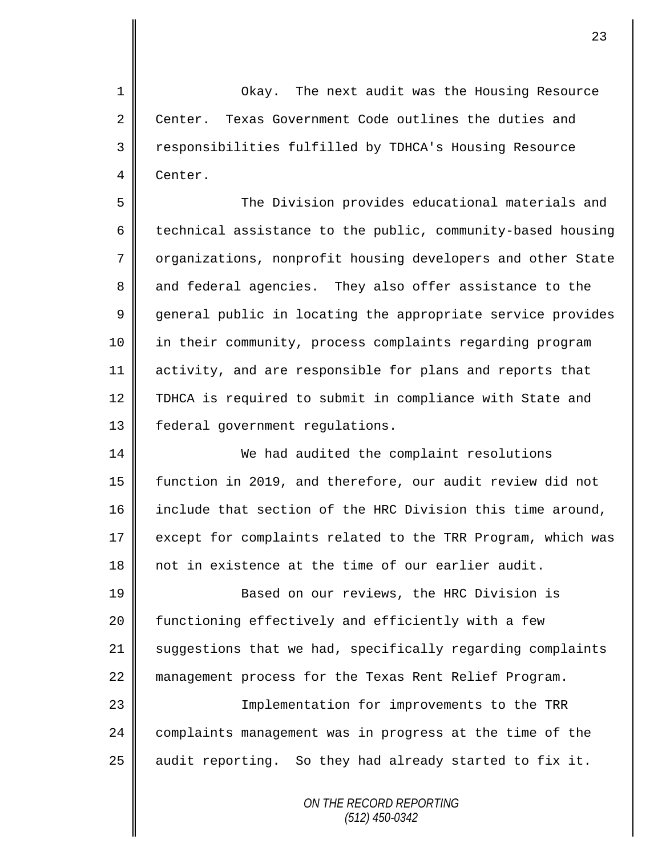1 Okay. The next audit was the Housing Resource 2 Center. Texas Government Code outlines the duties and 3 || responsibilities fulfilled by TDHCA's Housing Resource 4 Center.

5 The Division provides educational materials and 6  $\parallel$  technical assistance to the public, community-based housing 7 | organizations, nonprofit housing developers and other State 8 and federal agencies. They also offer assistance to the 9 general public in locating the appropriate service provides 10 in their community, process complaints regarding program 11 activity, and are responsible for plans and reports that 12 TDHCA is required to submit in compliance with State and 13 | federal government regulations.

14 We had audited the complaint resolutions 15 function in 2019, and therefore, our audit review did not 16 include that section of the HRC Division this time around, 17 | except for complaints related to the TRR Program, which was 18 || not in existence at the time of our earlier audit.

19 **Based on our reviews, the HRC Division is** 20 | functioning effectively and efficiently with a few 21 suggestions that we had, specifically regarding complaints 22 management process for the Texas Rent Relief Program. 23 || Implementation for improvements to the TRR

24 | complaints management was in progress at the time of the 25  $\parallel$  audit reporting. So they had already started to fix it.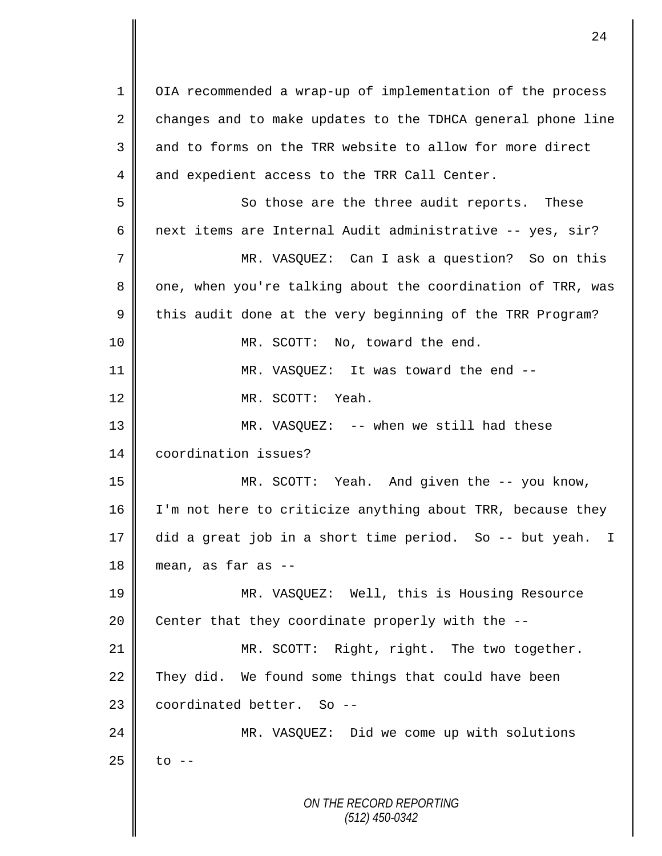*ON THE RECORD REPORTING (512) 450-0342* 1 | OIA recommended a wrap-up of implementation of the process  $2 \parallel$  changes and to make updates to the TDHCA general phone line 3 and to forms on the TRR website to allow for more direct 4 and expedient access to the TRR Call Center. 5 So those are the three audit reports. These 6 | next items are Internal Audit administrative -- yes, sir? 7 || MR. VASQUEZ: Can I ask a question? So on this 8 || one, when you're talking about the coordination of TRR, was  $9 \parallel$  this audit done at the very beginning of the TRR Program? 10 || MR. SCOTT: No, toward the end. 11 || MR. VASQUEZ: It was toward the end --12 MR. SCOTT: Yeah. 13 MR. VASQUEZ: -- when we still had these 14 coordination issues? 15 MR. SCOTT: Yeah. And given the -- you know, 16  $\parallel$  I'm not here to criticize anything about TRR, because they 17 did a great job in a short time period. So -- but yeah. I  $18$  mean, as far as  $-$ 19 MR. VASQUEZ: Well, this is Housing Resource 20  $\parallel$  Center that they coordinate properly with the --21 MR. SCOTT: Right, right. The two together. 22 They did. We found some things that could have been  $23$   $\parallel$  coordinated better. So --24 MR. VASQUEZ: Did we come up with solutions  $25$  to  $-$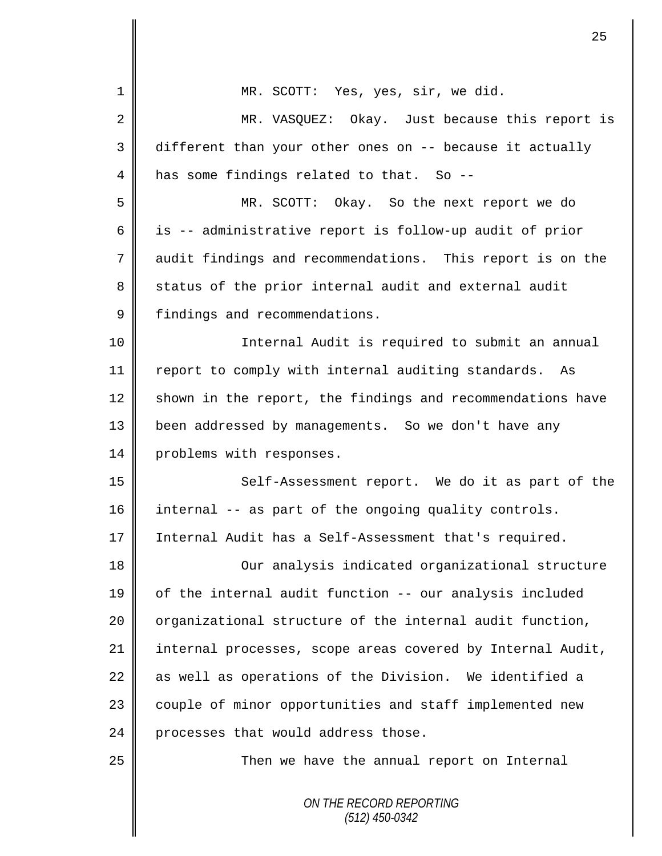|             | 25                                                         |
|-------------|------------------------------------------------------------|
| 1           | MR. SCOTT: Yes, yes, sir, we did.                          |
| 2           | MR. VASQUEZ: Okay. Just because this report is             |
| 3           | different than your other ones on -- because it actually   |
| 4           | has some findings related to that. So --                   |
| 5           | MR. SCOTT: Okay. So the next report we do                  |
| 6           | is -- administrative report is follow-up audit of prior    |
| 7           | audit findings and recommendations. This report is on the  |
| 8           | status of the prior internal audit and external audit      |
| $\mathsf 9$ | findings and recommendations.                              |
| 10          | Internal Audit is required to submit an annual             |
| 11          | report to comply with internal auditing standards. As      |
| 12          | shown in the report, the findings and recommendations have |
| 13          | been addressed by managements. So we don't have any        |
| 14          | problems with responses.                                   |
| 15          | Self-Assessment report. We do it as part of the            |
| 16          | internal -- as part of the ongoing quality controls.       |
| 17          | Internal Audit has a Self-Assessment that's required.      |
| 18          | Our analysis indicated organizational structure            |
| 19          | of the internal audit function -- our analysis included    |
| 20          | organizational structure of the internal audit function,   |
| 21          | internal processes, scope areas covered by Internal Audit, |
| 22          | as well as operations of the Division. We identified a     |
| 23          | couple of minor opportunities and staff implemented new    |
| 24          | processes that would address those.                        |
| 25          | Then we have the annual report on Internal                 |
|             | ON THE RECORD REPORTING<br>$(512)$ 450-0342                |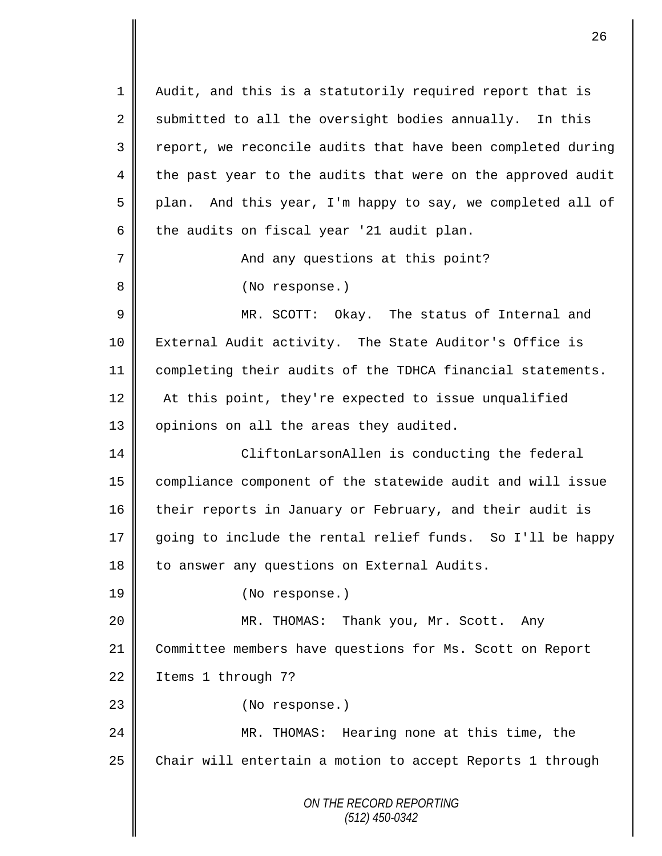*ON THE RECORD REPORTING (512) 450-0342* 1 || Audit, and this is a statutorily required report that is  $2 \parallel$  submitted to all the oversight bodies annually. In this 3 || report, we reconcile audits that have been completed during 4 the past year to the audits that were on the approved audit 5 plan. And this year, I'm happy to say, we completed all of 6  $\parallel$  the audits on fiscal year '21 audit plan. 7 And any questions at this point? 8 || (No response.) 9 MR. SCOTT: Okay. The status of Internal and 10 External Audit activity. The State Auditor's Office is 11 completing their audits of the TDHCA financial statements. 12 | At this point, they're expected to issue unqualified 13 | opinions on all the areas they audited. 14 CliftonLarsonAllen is conducting the federal 15 compliance component of the statewide audit and will issue 16 their reports in January or February, and their audit is 17 going to include the rental relief funds. So I'll be happy 18 to answer any questions on External Audits. 19 (No response.) 20 MR. THOMAS: Thank you, Mr. Scott. Any 21 Committee members have questions for Ms. Scott on Report 22 | Items 1 through 7? 23 || (No response.) 24 MR. THOMAS: Hearing none at this time, the 25 Chair will entertain a motion to accept Reports 1 through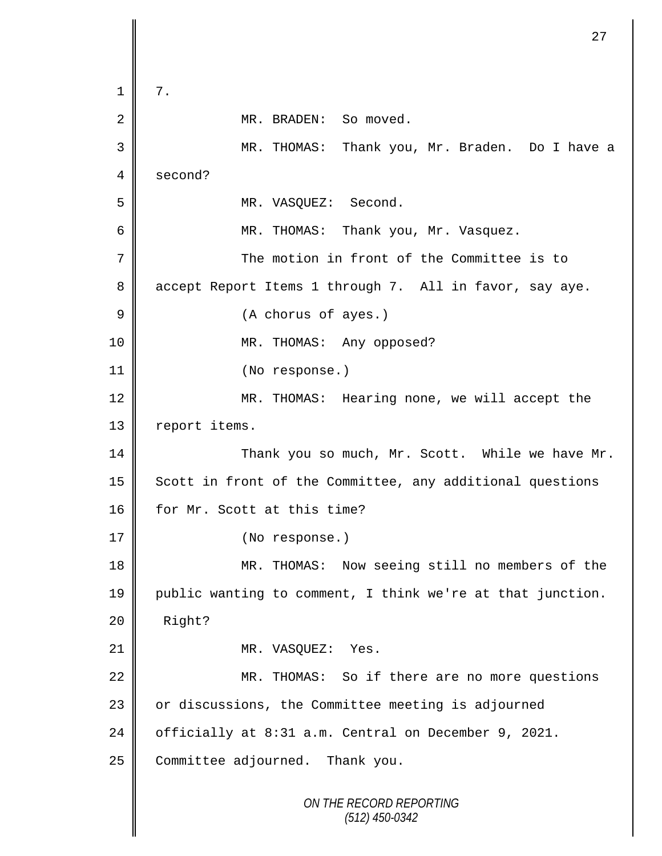```
ON THE RECORD REPORTING
                          (512) 450-0342
1 \parallel 7.
 2 | MR. BRADEN: So moved.
 3 MR. THOMAS: Thank you, Mr. Braden. Do I have a 
 4 second?
 5 | MR. VASQUEZ: Second.
 6 ||                           MR. THOMAS:   Thank you, Mr. Vasquez.
7 The motion in front of the Committee is to 
8 accept Report Items 1 through 7. All in favor, say aye.
9 || (A chorus of ayes.)
10 || MR. THOMAS: Any opposed?
11 || (No response.)
12 || MR. THOMAS: Hearing none, we will accept the
13 report items.
14 Thank you so much, Mr. Scott. While we have Mr.
15 | Scott in front of the Committee, any additional questions
16 for Mr. Scott at this time?
17 (No response.)
18 || MR. THOMAS: Now seeing still no members of the
19 public wanting to comment, I think we're at that junction. 
20 Right?
21 | MR. VASQUEZ: Yes.
22 MR. THOMAS: So if there are no more questions
23 | or discussions, the Committee meeting is adjourned
24 | officially at 8:31 a.m. Central on December 9, 2021.
25 Committee adjourned. Thank you.
```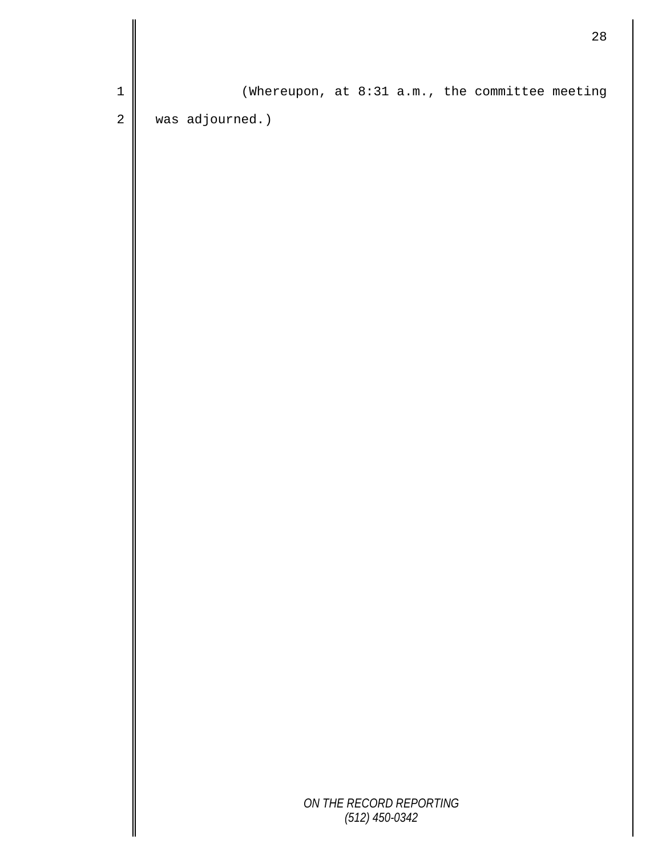|             | $28$                                            |  |
|-------------|-------------------------------------------------|--|
| $\mathbf 1$ | (Whereupon, at 8:31 a.m., the committee meeting |  |
| $\sqrt{2}$  | was adjourned.)                                 |  |
|             |                                                 |  |
|             |                                                 |  |
|             |                                                 |  |
|             |                                                 |  |
|             |                                                 |  |
|             |                                                 |  |
|             |                                                 |  |
|             |                                                 |  |
|             |                                                 |  |
|             |                                                 |  |
|             |                                                 |  |
|             |                                                 |  |
|             |                                                 |  |
|             |                                                 |  |
|             |                                                 |  |
|             |                                                 |  |
|             |                                                 |  |
|             |                                                 |  |
|             |                                                 |  |
|             | ON THE RECORD REPORTING<br>$(512)$ 450-0342     |  |